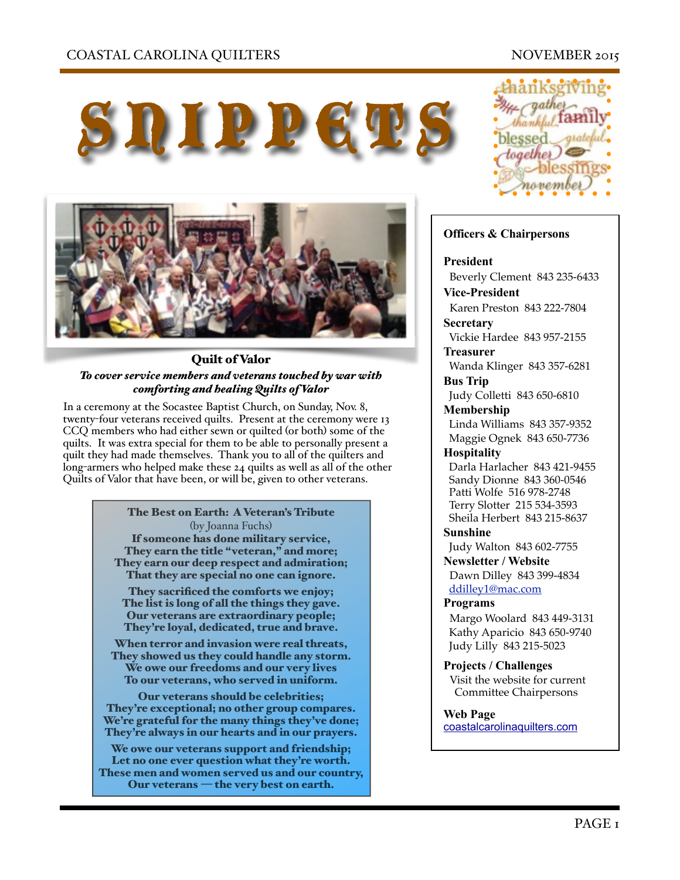## COASTAL CAROLINA QUILTERS NOVEMBER 2015

# SUIPPETS



#### Quilt of Valor *To cover service members and veterans touched by war with comforting and healing Quilts of Valor*

In a ceremony at the Socastee Baptist Church, on Sunday, Nov. 8, twenty-four veterans received quilts. Present at the ceremony were 13 CCQ members who had either sewn or quilted (or both) some of the quilts. It was extra special for them to be able to personally present a quilt they had made themselves. Thank you to all of the quilters and long-armers who helped make these 24 quilts as well as all of the other Quilts of Valor that have been, or will be, given to other veterans.

> The Best on Earth: A Veteran's Tribute (by Joanna Fuchs)\$ If someone has done military service, They earn the title "veteran," and more; They earn our deep respect and admiration; That they are special no one can ignore.

They sacrificed the comforts we enjoy; The list is long of all the things they gave. Our veterans are extraordinary people; They're loyal, dedicated, true and brave.

When terror and invasion were real threats, They showed us they could handle any storm. We owe our freedoms and our very lives To our veterans, who served in uniform.

Our veterans should be celebrities; They're exceptional; no other group compares. We're grateful for the many things they've done; They're always in our hearts and in our prayers.

We owe our veterans support and friendship; Let no one ever question what they're worth. These men and women served us and our country, Our veterans — the very best on earth.



#### **Officers & Chairpersons**

#### **President**

Beverly Clement 843 235-6433

**Vice-President**  Karen Preston 843 222-7804

**Secretary** Vickie Hardee 843 957-2155

**Treasurer** 

 Wanda Klinger 843 357-6281 **Bus Trip** 

Judy Colletti 843 650-6810

**Membership**  Linda Williams 843 357-9352 Maggie Ognek 843 650-7736

#### **Hospitality**

 Darla Harlacher 843 421-9455 Sandy Dionne 843 360-0546 Patti Wolfe 516 978-2748 Terry Slotter 215 534-3593 Sheila Herbert 843 215-8637

**Sunshine** 

Judy Walton 843 602-7755

**Newsletter / Website** Dawn Dilley 843 399-4834

[ddilley1@mac.com](mailto:ddilley1@mac.com)

#### **Programs**

Margo Woolard 843 449-3131 Kathy Aparicio 843 650-9740 Judy Lilly 843 215-5023

**Projects / Challenges**  Visit the website for current Committee Chairpersons

**Web Page**  [coastalcarolinaquilters.com](http://coastalcarolinaquilters.com)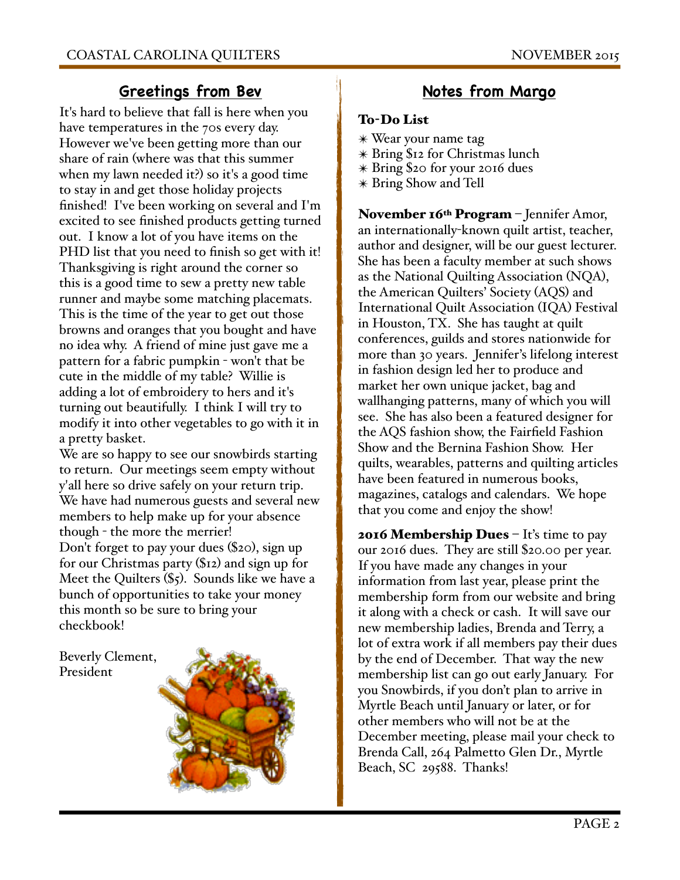# **Greetings from Bev**

It's hard to believe that fall is here when you have temperatures in the 70s every day. However we've been getting more than our share of rain (where was that this summer when my lawn needed it?) so it's a good time to stay in and get those holiday projects finished! I've been working on several and I'm excited to see finished products getting turned out. I know a lot of you have items on the PHD list that you need to finish so get with it! Thanksgiving is right around the corner so this is a good time to sew a pretty new table runner and maybe some matching placemats. This is the time of the year to get out those browns and oranges that you bought and have no idea why. A friend of mine just gave me a pattern for a fabric pumpkin - won't that be cute in the middle of my table? Willie is adding a lot of embroidery to hers and it's turning out beautifully. I think I will try to modify it into other vegetables to go with it in a pretty basket.

We are so happy to see our snowbirds starting to return. Our meetings seem empty without y'all here so drive safely on your return trip. We have had numerous guests and several new members to help make up for your absence though - the more the merrier! Don't forget to pay your dues (\$20), sign up for our Christmas party (\$12) and sign up for Meet the Quilters (\$5). Sounds like we have a bunch of opportunities to take your money this month so be sure to bring your checkbook!

Beverly Clement, President



# **Notes from Margo**

#### To-Do List

- ✴ Wear your name tag
- ✴ Bring \$12 for Christmas lunch
- ✴ Bring \$20 for your 2016 dues
- ✴ Bring Show and Tell

November  $16<sup>th</sup> Program - Jennifer Amor,$ an internationally-known quilt artist, teacher, author and designer, will be our guest lecturer. She has been a faculty member at such shows as the National Quilting Association (NQA), the American Quilters' Society (AQS) and International Quilt Association (IQA) Festival in Houston, TX. She has taught at quilt conferences, guilds and stores nationwide for more than 30 years. Jennifer's lifelong interest in fashion design led her to produce and market her own unique jacket, bag and wallhanging patterns, many of which you will see. She has also been a featured designer for the AQS fashion show, the Fairfield Fashion Show and the Bernina Fashion Show. Her quilts, wearables, patterns and quilting articles have been featured in numerous books, magazines, catalogs and calendars. We hope that you come and enjoy the show!

**2016 Membership Dues**  $-$  It's time to pay our 2016 dues. They are still \$20.00 per year. If you have made any changes in your information from last year, please print the membership form from our website and bring it along with a check or cash. It will save our new membership ladies, Brenda and Terry, a lot of extra work if all members pay their dues by the end of December. That way the new membership list can go out early January. For you Snowbirds, if you don't plan to arrive in Myrtle Beach until January or later, or for other members who will not be at the December meeting, please mail your check to Brenda Call, 264 Palmetto Glen Dr., Myrtle Beach, SC 29588. Thanks!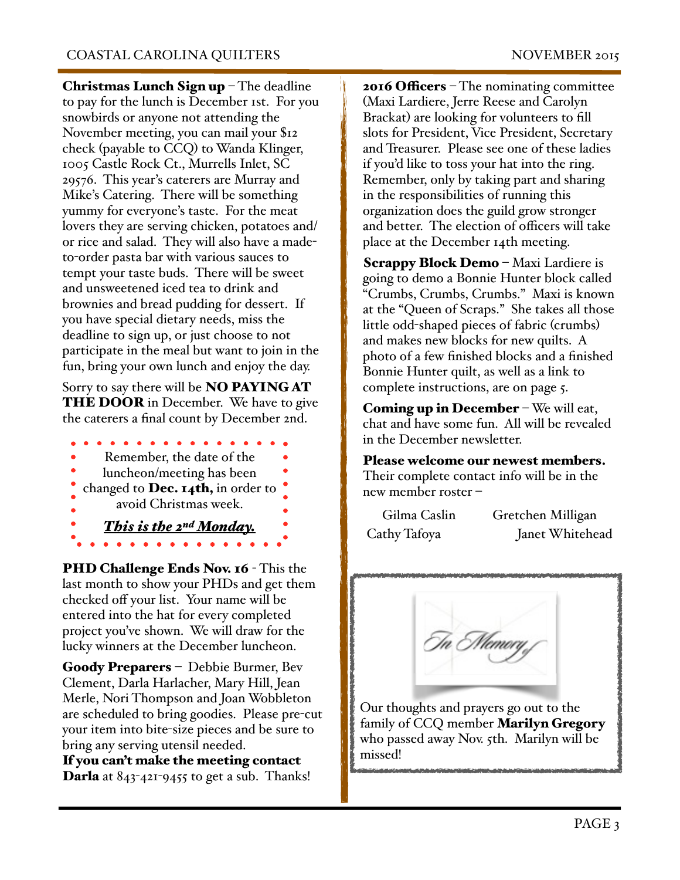Christmas Lunch Sign up - The deadline to pay for the lunch is December 1st. For you snowbirds or anyone not attending the November meeting, you can mail your \$12 check (payable to CCQ) to Wanda Klinger, 1005 Castle Rock Ct., Murrells Inlet, SC 29576. This year's caterers are Murray and Mike's Catering. There will be something yummy for everyone's taste. For the meat lovers they are serving chicken, potatoes and/ or rice and salad. They will also have a madeto-order pasta bar with various sauces to tempt your taste buds. There will be sweet and unsweetened iced tea to drink and brownies and bread pudding for dessert. If you have special dietary needs, miss the deadline to sign up, or just choose to not participate in the meal but want to join in the fun, bring your own lunch and enjoy the day.

Sorry to say there will be NO PAYING AT THE DOOR in December. We have to give the caterers a final count by December 2nd.

- Remember, the date of the luncheon/meeting has been changed to Dec.  $I_4$ th, in order to
- avoid Christmas week.
	-
- *This is the 2nd Monday.*

PHD Challenge Ends Nov. 16 - This the last month to show your PHDs and get them checked off your list. Your name will be entered into the hat for every completed project you've shown. We will draw for the lucky winners at the December luncheon.

Goody Preparers – Debbie Burmer, Bev Clement, Darla Harlacher, Mary Hill, Jean Merle, Nori Thompson and Joan Wobbleton are scheduled to bring goodies. Please pre-cut your item into bite-size pieces and be sure to bring any serving utensil needed.

If you can't make the meeting contact **Darla** at  $843-421-9455$  to get a sub. Thanks! **2016 Officers** – The nominating committee (Maxi Lardiere, Jerre Reese and Carolyn Brackat) are looking for volunteers to fill slots for President, Vice President, Secretary and Treasurer. Please see one of these ladies if you'd like to toss your hat into the ring. Remember, only by taking part and sharing in the responsibilities of running this organization does the guild grow stronger and better. The election of officers will take place at the December 14th meeting.

Scrappy Block Demo – Maxi Lardiere is going to demo a Bonnie Hunter block called "Crumbs, Crumbs, Crumbs." Maxi is known at the "Queen of Scraps." She takes all those little odd-shaped pieces of fabric (crumbs) and makes new blocks for new quilts. A photo of a few finished blocks and a finished Bonnie Hunter quilt, as well as a link to complete instructions, are on page 5.

**Coming up in December** – We will eat, chat and have some fun. All will be revealed in the December newsletter.

Please welcome our newest members. Their complete contact info will be in the new member roster –

| Gilma Caslin | Gretchen Milligan |
|--------------|-------------------|
| Cathy Tafoya | Janet Whitehead   |

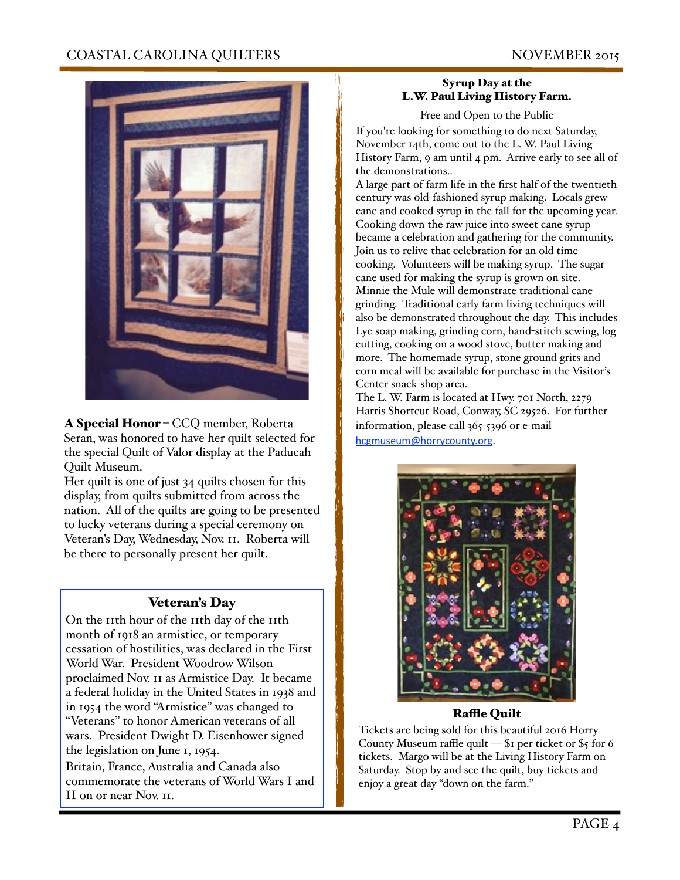

A Special Honor – CCQ member, Roberta Seran, was honored to have her quilt selected for the special Quilt of Valor display at the Paducah Quilt Museum.

Her quilt is one of just 34 quilts chosen for this display, from quilts submitted from across the nation. All of the quilts are going to be presented to lucky veterans during a special ceremony on Veteran's Day, Wednesday, Nov. 11. Roberta will be there to personally present her quilt.

#### Veteran's Day

On the 11th hour of the 11th day of the 11th month of 1918 an armistice, or temporary cessation of hostilities, was declared in the First World War. President Woodrow Wilson proclaimed Nov. 11 as Armistice Day. It became a federal holiday in the United States in 1938 and in 1954 the word "Armistice" was changed to "Veterans" to honor American veterans of all wars. President Dwight D. Eisenhower signed the legislation on June 1, 1954. Britain, France, Australia and Canada also

commemorate the veterans of World Wars I and II on or near Nov. 11.

#### Syrup Day at the L.W. Paul Living History Farm.

Free and Open to the Public

If you're looking for something to do next Saturday, November 14th, come out to the L. W. Paul Living History Farm, 9 am until 4 pm. Arrive early to see all of the demonstrations..

A large part of farm life in the first half of the twentieth century was old-fashioned syrup making. Locals grew cane and cooked syrup in the fall for the upcoming year. Cooking down the raw juice into sweet cane syrup became a celebration and gathering for the community. Join us to relive that celebration for an old time cooking. Volunteers will be making syrup. The sugar cane used for making the syrup is grown on site. Minnie the Mule will demonstrate traditional cane grinding. Traditional early farm living techniques will also be demonstrated throughout the day. This includes Lye soap making, grinding corn, hand-stitch sewing, log cutting, cooking on a wood stove, butter making and more. The homemade syrup, stone ground grits and corn meal will be available for purchase in the Visitor's Center snack shop area.

The L. W. Farm is located at Hwy. 701 North, 2279 Harris Shortcut Road, Conway, SC 29526. For further information, please call 365-5396 or e-mail [hcgmuseum@horrycounty.org.](mailto:hcgmuseum@horrycounty.org)



#### **Raffle Quilt**

Tickets are being sold for this beautiful 2016 Horry County Museum raffle quilt  $-$  \$1 per ticket or \$5 for 6 tickets. Margo will be at the Living History Farm on Saturday. Stop by and see the quilt, buy tickets and enjoy a great day "down on the farm."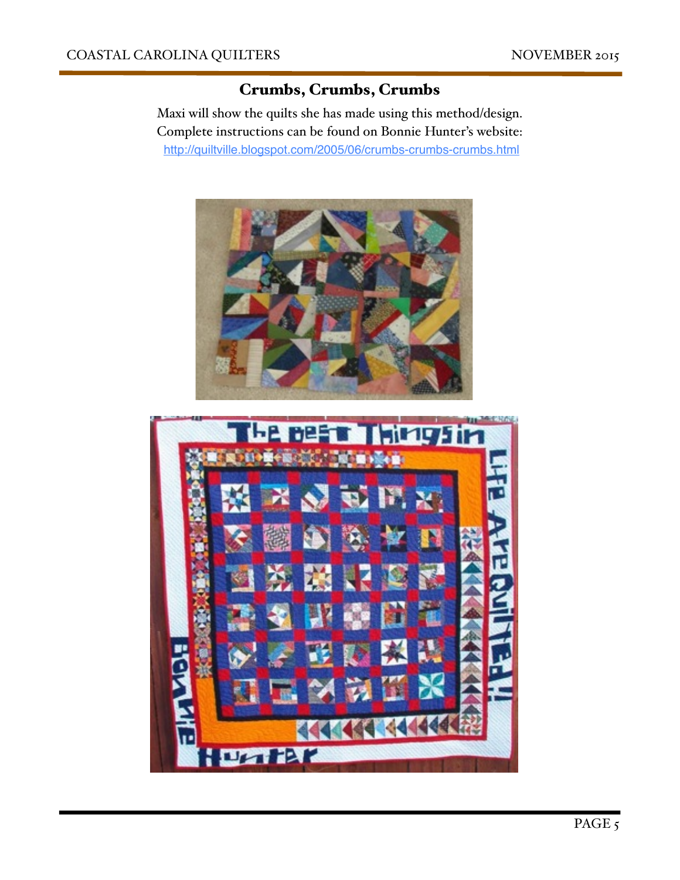## Crumbs, Crumbs, Crumbs

Maxi will show the quilts she has made using this method/design. Complete instructions can be found on Bonnie Hunter's website: <http://quiltville.blogspot.com/2005/06/crumbs-crumbs-crumbs.html>